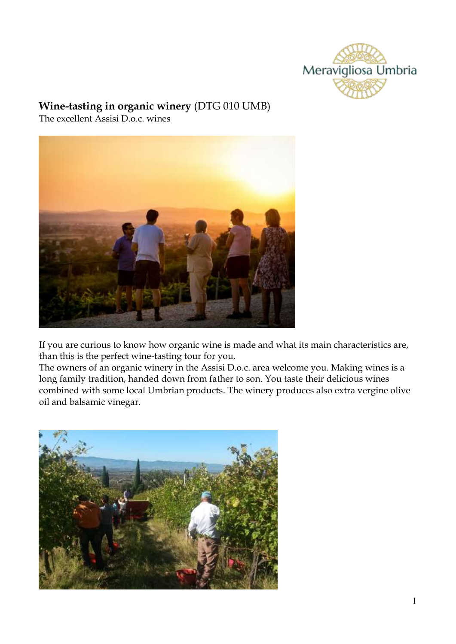

## **Wine-tasting in organic winery** (DTG 010 UMB)

The excellent Assisi D.o.c. wines



If you are curious to know how organic wine is made and what its main characteristics are, than this is the perfect wine-tasting tour for you.

The owners of an organic winery in the Assisi D.o.c. area welcome you. Making wines is a long family tradition, handed down from father to son. You taste their delicious wines combined with some local Umbrian products. The winery produces also extra vergine olive oil and balsamic vinegar.